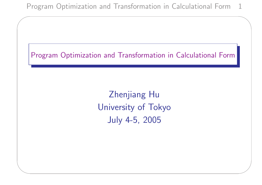✫



Zhenjiang Hu University of Tokyo July 4-5, 2005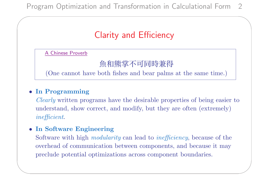# Clarity and Efficiency

A Chinese Proverb

 $\overline{\phantom{a}}$ 

✫

魚和熊掌不可同時兼得

(One cannot have both fishes and bear palms at the same time.)

#### • In Programming

Clearly written programs have the desirable properties of being easier to understand, show correct, and modify, but they are often (extremely) inefficient.

#### • In Software Engineering

Software with high modularity can lead to inefficiency, because of the overhead of communication between components, and because it may preclude potential optimizations across component boundaries.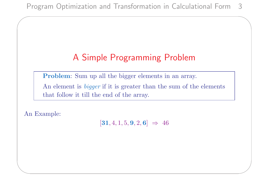# A Simple Programming Problem

Problem: Sum up all the bigger elements in an array.

An element is *bigger* if it is greater than the sum of the elements that follow it till the end of the array.

An Example:

✫

 $\overline{\phantom{a}}$ 

 $[31, 4, 1, 5, 9, 2, 6] \Rightarrow 46$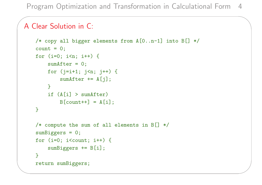### A Clear Solution in C:

 $\overline{\phantom{a}}$ 

```
/* copy all bigger elements from A[0..n-1] into B[] */
count = 0;for (i=0; i \le n; i++) {
    sumAfter = 0;for (j=i+1; j\le n; j++) {
        sumAfter += A[j];\mathcal{F}if (A[i] > sumAfter)B[count++] = A[i];}
/* compute the sum of all elements in B[] * /sumBiggers = 0;
for (i=0; i<count; i++) {
    sumBiggers += B[i];
}
return sumBiggers;
```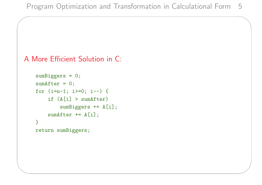```
A More Efficient Solution in C:
```

```
sumBiggers = 0;
sumAfter = 0;for (i=n-1; i>=0; i--) {
    if (A[i] > sumAfter)sumBiggers += A[i];
    sumAfter += A[i];
}
return sumBiggers;
```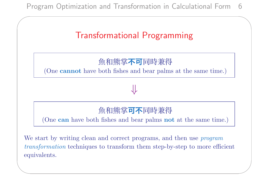✫



### 魚和熊掌**不可**同時兼得

(One **cannot** have both fishes and bear palms at the same time.)

⇓

### 魚和熊掌**可不**同時兼得

(One can have both fishes and bear palms not at the same time.)

We start by writing clean and correct programs, and then use *program* transformation techniques to transform them step-by-step to more efficient equivalents.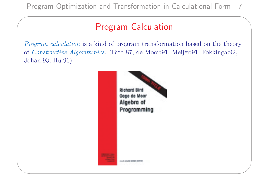✫

## Program Calculation

Program calculation is a kind of program transformation based on the theory of Constructive Algorithmics. (Bird:87, de Moor:91, Meijer:91, Fokkinga:92, Johan:93, Hu:96)

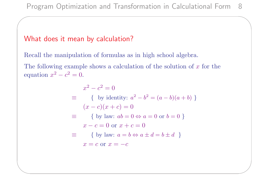#### What does it mean by calculation?

 $\overline{\phantom{a}}$ 

✫

Recall the manipulation of formulas as in high school algebra.

The following example shows a calculation of the solution of  $x$  for the equation  $x^2 - c^2 = 0$ .

$$
x^{2} - c^{2} = 0
$$
  
\n
$$
\equiv \{ \text{ by identity: } a^{2} - b^{2} = (a - b)(a + b) \}
$$
  
\n
$$
(x - c)(x + c) = 0
$$
  
\n
$$
\equiv \{ \text{ by law: } ab = 0 \Leftrightarrow a = 0 \text{ or } b = 0 \}
$$
  
\n
$$
x - c = 0 \text{ or } x + c = 0
$$
  
\n
$$
\equiv \{ \text{ by law: } a = b \Leftrightarrow a \pm d = b \pm d \}
$$
  
\n
$$
x = c \text{ or } x = -c
$$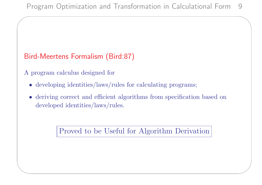### Bird-Meertens Formalism (Bird:87)

A program calculus designed for

 $\overline{\phantom{a}}$ 

✫

- developing identities/laws/rules for calculating programs;
- deriving correct and efficient algorithms from specification based on developed identities/laws/rules.

Proved to be Useful for Algorithm Derivation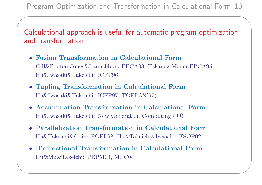Calculational approach is useful for automatic program optimization and transformation

- Fusion Transformation in Calculational Form Gill&Peyton Jones&Launchbury:FPCA93, Takano&Meijer:FPCA95, Hu&Iwasaki&Takeichi: ICFP96
- Tupling Transformation in Calculational Form Hu&Iwasaki&Takeichi: ICFP97, TOPLAS(97)

 $\overline{\phantom{a}}$ 

- Accumulation Transformation in Calculational Form Hu&Iwasaki&Takeichi: New Generation Computing (99)
- Parallelization Transformation in Calculational Form Hu&Takeichi&Chin: POPL98, Hu&Takeichi&Iwasaki: ESOP02
- Bidirectional Transformation in Calculational Form Hu&Mu&Takeichi: PEPM04, MPC04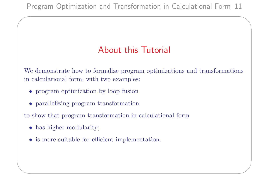## About this Tutorial

We demonstrate how to formalize program optimizations and transformations in calculational form, with two examples:

- program optimization by loop fusion
- parallelizing program transformation

to show that program transformation in calculational form

• has higher modularity;

 $\overline{\phantom{a}}$ 

✫

• is more suitable for efficient implementation.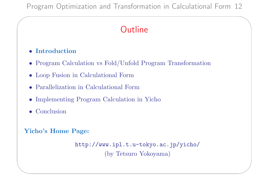## **Outline**

#### • Introduction

 $\overline{\phantom{a}}$ 

- Program Calculation vs Fold/Unfold Program Transformation
- Loop Fusion in Calculational Form
- Parallelization in Calculational Form
- Implementing Program Calculation in Yicho
- Conclusion

✫

#### Yicho's Home Page:

```
http://www.ipl.t.u-tokyo.ac.jp/yicho/
         (by Tetsuro Yokoyama)
```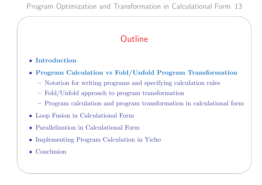# **Outline**

#### • Introduction

 $\overline{\phantom{a}}$ 

- Program Calculation vs Fold/Unfold Program Transformation
	- Notation for writing programs and specifying calculation rules
	- Fold/Unfold approach to program transformation
	- Program calculation and program transformation in calculational form
- Loop Fusion in Calculational Form
- Parallelization in Calculational Form
- Implementing Program Calculation in Yicho
- Conclusion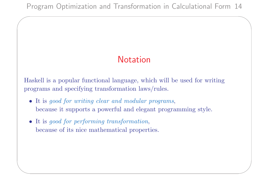# Notation

Haskell is a popular functional language, which will be used for writing programs and specifying transformation laws/rules.

- It is good for writing clear and modular programs, because it supports a powerful and elegant programming style.
- It is good for performing transformation, because of its nice mathematical properties.

 $\overline{\phantom{a}}$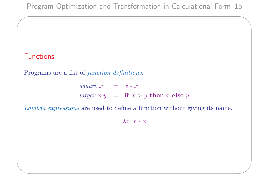### Functions

 $\overline{\phantom{a}}$ 

✫

Programs are a list of function definitions.

square  $x = x * x$ larger x  $y =$  if  $x > y$  then x else y

Lambda expressions are used to define a function without giving its name.

 $\lambda x \cdot x * x$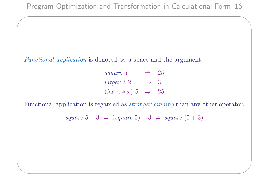Functional application is denoted by a space and the argument.

 $\overline{\phantom{a}}$ 

✫

square 5  $\Rightarrow$  25  $larger 3 2 \Rightarrow 3$  $(\lambda x. x * x) 5 \Rightarrow 25$ 

Functional application is regarded as stronger binding than any other operator.

square  $5 + 3 = (square 5) + 3 \neq square (5 + 3)$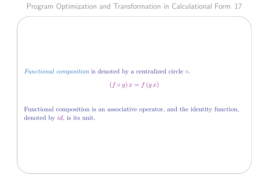Functional composition is denoted by a centralized circle  $\circ$ .

 $\overline{\phantom{a}}$ 

✫

 $(f \circ g) x = f(g x)$ 

Functional composition is an associative operator, and the identity function, denoted by id, is its unit.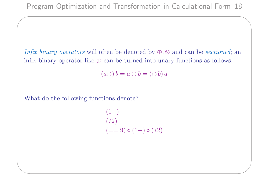Infix binary operators will often be denoted by  $\oplus$ ,  $\otimes$  and can be sectioned; an infix binary operator like  $\oplus$  can be turned into unary functions as follows.

 $(a\oplus) b = a \oplus b = (\oplus b) a$ 

What do the following functions denote?

 $\overline{\phantom{a}}$ 

✫

 $(1+)$  $(2)$  $(== 9) \circ (1+) \circ (*2)$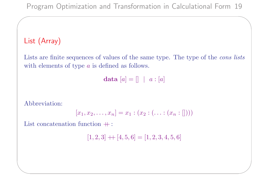### List (Array)

 $\overline{\phantom{a}}$ 

Lists are finite sequences of values of the same type. The type of the *cons* lists with elements of type *a* is defined as follows.

data  $[a] = [] \mid a : [a]$ 

Abbreviation:

✫

$$
[x_1, x_2, \ldots, x_n] = x_1 : (x_2 : (\ldots : (x_n : []))
$$

List concatenation function  $+$ :

 $[1, 2, 3] + [4, 5, 6] = [1, 2, 3, 4, 5, 6]$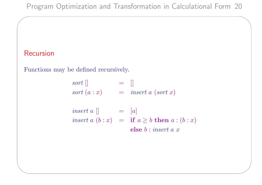### Recursion

 $\overline{\phantom{a}}$ 

✫

Functions may be defined recursively.

 $sort[]$  = [] sort  $(a : x)$  = insert a (sort x)

insert a  $\left[\right]$  =  $\left[a\right]$ insert  $a(b : x) =$  if  $a \geq b$  then  $a : (b : x)$ else b : insert a x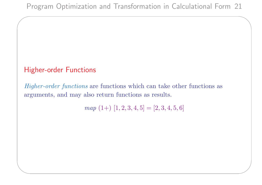### Higher-order Functions

 $\overline{\phantom{a}}$ 

✫

Higher-order functions are functions which can take other functions as arguments, and may also return functions as results.

 $map (1+) [1, 2, 3, 4, 5] = [2, 3, 4, 5, 6]$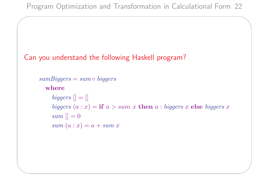### Can you understand the following Haskell program?

 $\overline{\phantom{a}}$ 

```
sumBigegers = sum \circ biggerswhere
    biggers [] = []biggers (a : x) = if a > sum x then a : biggers x else biggers x
    sum \mid = 0
    sum (a : x) = a + sum x
```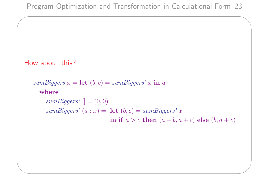```
How about this?
   sumBiggers x = \text{let } (b, c) = sumBig \arg \arg s' \cdot x in a
      where
        sumBiggers' [] = (0,0)sumBiggers' (a : x) = \textbf{let} (b, c) = sumBiggers' xin if a > c then (a + b, a + c) else (b, a + c)
```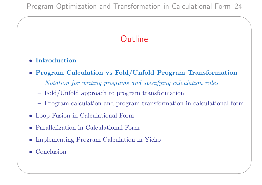# **Outline**

#### • Introduction

 $\overline{\phantom{a}}$ 

- Program Calculation vs Fold/Unfold Program Transformation
	- Notation for writing programs and specifying calculation rules
	- Fold/Unfold approach to program transformation
	- Program calculation and program transformation in calculational form
- Loop Fusion in Calculational Form
- Parallelization in Calculational Form
- Implementing Program Calculation in Yicho
- Conclusion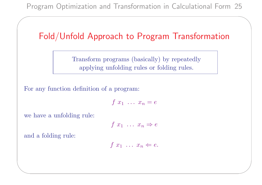## Fold/Unfold Approach to Program Transformation

Transform programs (basically) by repeatedly applying unfolding rules or folding rules.

For any function definition of a program:

$$
f\ x_1\ \ldots\ x_n=e
$$

we have a unfolding rule:

$$
f x_1 \ldots x_n \Rightarrow e
$$

and a folding rule:

✫

 $\overline{\phantom{a}}$ 

$$
f x_1 \ldots x_n \Leftarrow e.
$$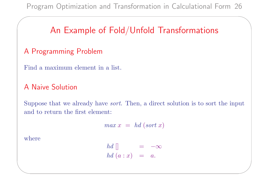## An Example of Fold/Unfold Transformations

### A Programming Problem

Find a maximum element in a list.

#### A Naive Solution

Suppose that we already have sort. Then, a direct solution is to sort the input and to return the first element:

$$
max x = hd (sort x)
$$

where

✫

 $\overline{\phantom{a}}$ 

 $hd \parallel$  =  $-\infty$ hd  $(a : x) = a$ .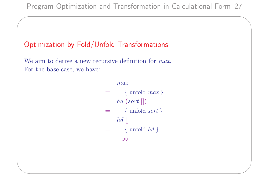### Optimization by Fold/Unfold Transformations

 $\overline{\phantom{a}}$ 

✫

We aim to derive a new recursive definition for *max*. For the base case, we have:

> $max$  $=$  { unfold *max* }  $hd$  (sort  $\vert\vert$ )  $=$  { unfold *sort* }  $hd$  $=$  { unfold  $hd$ }  $-\infty$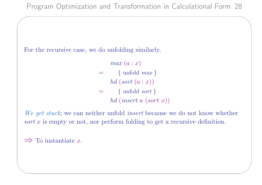For the recursive case, we do unfolding similarly.

 $max(a : x)$  $=$  { unfold *max* } hd  $(sort (a : x))$  $=$  { unfold *sort* } hd (insert a (sort x))

We get stuck; we can neither unfold *insert* because we do not know whether sort x is empty or not, nor perform folding to get a recursive definition.

 $\Rightarrow$  To instantiate x.

✫

 $\overline{\phantom{a}}$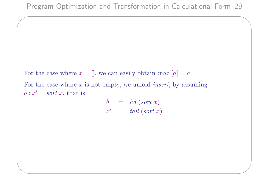For the case where  $x = []$ , we can easily obtain  $max [a] = a$ . For the case where  $x$  is not empty, we unfold *insert*, by assuming  $b: x' = sort x$ , that is

 $\overline{\phantom{a}}$ 

✫

 $b = hd (sort x)$  $x' = tail (sort x)$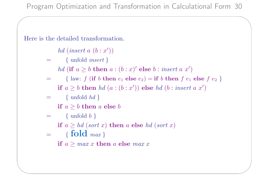Here is the detailed transformation.

 $\overline{\phantom{a}}$ 

✫

hd (insert  $a(b:x')$ )

- $=$  { unfold *insert* }
	- hd (if  $a \geq b$  then  $a:(b:x)'$  else  $b: insert\ a\ x')$
- = { law:  $f$  (if b then  $e_1$  else  $e_2$ ) = if b then  $f$   $e_1$  else  $f$   $e_2$  } if  $a \geq b$  then  $hd(a:(b:x'))$  else  $hd(b:insert\ a\ x')$
- $=$  { unfold  $hd$ }
	- if  $a \geq b$  then a else b
- $=$  { unfold  $b$ }

if  $a \geq hd$  (sort x) then a else hd (sort x)

 $= \{ \text{fold } max \}$ 

if  $a \geq max x$  then a else max x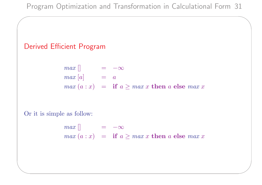### Derived Efficient Program

 $\overline{\phantom{a}}$ 

✫

$$
max [ \n\nmax [a] = -\infty\n\nmax (a : x) = if a \ge max x then a else max x
$$

Or it is simple as follow:

$$
max [] = -\infty
$$
  

$$
max (a : x) = if a \ge max x then a else max x
$$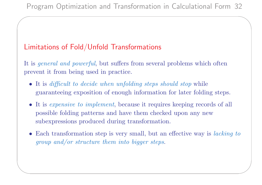### Limitations of Fold/Unfold Transformations

 $\overline{\phantom{a}}$ 

✫

It is *general and powerful*, but suffers from several problems which often prevent it from being used in practice.

- It is difficult to decide when unfolding steps should stop while guaranteeing exposition of enough information for later folding steps.
- It is *expensive to implement*, because it requires keeping records of all possible folding patterns and have them checked upon any new subexpressions produced during transformation.
- Each transformation step is very small, but an effective way is *lacking to* group and/or structure them into bigger steps.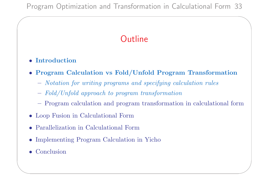Program Optimization and Transformation in Calculational Form 33

## **Outline**

#### • Introduction

 $\overline{\phantom{a}}$ 

- Program Calculation vs Fold/Unfold Program Transformation
	- Notation for writing programs and specifying calculation rules
	- Fold/Unfold approach to program transformation
	- Program calculation and program transformation in calculational form
- Loop Fusion in Calculational Form
- Parallelization in Calculational Form
- Implementing Program Calculation in Yicho
- Conclusion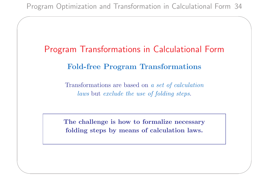✫

Program Transformations in Calculational Form Fold-free Program Transformations

> Transformations are based on a set of calculation laws but exclude the use of folding steps.

The challenge is how to formalize necessary folding steps by means of calculation laws.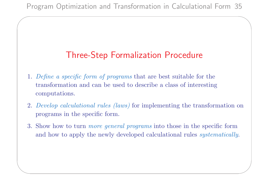✫

## Three-Step Formalization Procedure

- 1. Define a specific form of programs that are best suitable for the transformation and can be used to describe a class of interesting computations.
- 2. Develop calculational rules (laws) for implementing the transformation on programs in the specific form.
- 3. Show how to turn *more general programs* into those in the specific form and how to apply the newly developed calculational rules systematically.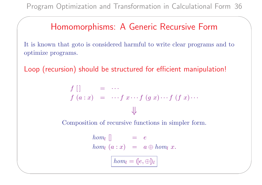✫

## Homomorphisms: A Generic Recursive Form

It is known that goto is considered harmful to write clear programs and to optimize programs.

Loop (recursion) should be structured for efficient manipulation!

$$
f\left[\right] = \cdots
$$
  

$$
f(a:x) = \cdots f x \cdots f(gx) \cdots f(fx) \cdots
$$
  

$$
\downarrow
$$

Composition of recursive functions in simpler form.

$$
\begin{array}{rcl}\nhom_l \; & = & e \\
\hline\nhom_l \; (a:x) & = & a \oplus \hom_l \; x.\n\end{array}
$$

$$
\boxed{hom_l = (\![e,\oplus]\!]_l}
$$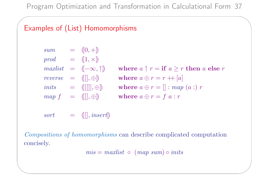### Examples of (List) Homomorphisms

 $\overline{\phantom{a}}$ 

✫

sum = 
$$
(0, +)
$$
  
\nprod =  $(1, \times)$   
\nmaxlist =  $(-\infty, \uparrow)$  where  $a \uparrow r = \textbf{if } a \geq r$  then a else  $r$   
\nreverse =  $([], \oplus)$  where  $a \oplus r = r + [a]$   
\ninits =  $([[\parallel], \oplus)$  where  $a \oplus r = [] : map (a :) r$   
\nmap  $f = ([\parallel, \oplus)$  where  $a \oplus r = f a : r$ 

 $sort = ([], insert])$ 

Compositions of homomorphisms can describe complicated computation concisely.

 $mis = maxlist \circ (map sum) \circ inits$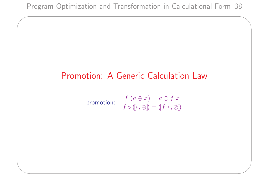$\overline{\phantom{a}}$ 

✫

## Promotion: A Generic Calculation Law

$$
\text{promotion:} \quad \frac{f\ (a \oplus x) = a \otimes f \ x}{f \circ (e, \oplus) = (f \ e, \otimes)}
$$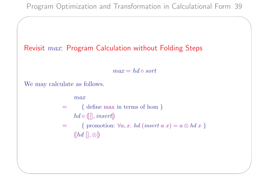### Revisit max: Program Calculation without Folding Steps

 $max = hd \circ sort$ 

We may calculate as follows.

 $\overline{\phantom{a}}$ 

✫

max

 $=$  { define max in terms of hom }  $hd \circ ([]], insert]$ 

= { promotion:  $\forall a, x.$  hd (insert a x) =  $a \otimes bd x$  }  $([hd\;[], \otimes])$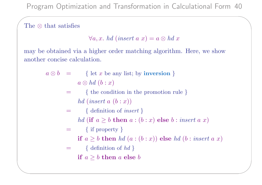The ⊗ that satisfies

 $\overline{\phantom{a}}$ 

✫

$$
\forall a, x. \; hd \; (insert \; a \; x) = a \otimes hd \; x
$$

may be obtained via a higher order matching algorithm. Here, we show another concise calculation.

$$
a \otimes b
$$
 = { let *x* be any list; by **inversion** }  
 $a \otimes hd (b : x)$ 

= { the condition in the promotion rule } hd  $(inset a (b : x))$ 

$$
= \{ \ definition \ of \ insert \}
$$

hd (if  $a \geq b$  then  $a : (b : x)$  else  $b : insert a x$ )

$$
= \{ \text{ if property } \}
$$

if  $a \geq b$  then  $hd(a:(b:x))$  else  $hd(b:insert\ a\ x)$ 

$$
= \{ \text{ definition of } hd \}
$$
  
if  $a \ge b$  then a else b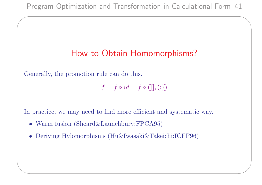## How to Obtain Homomorphisms?

Generally, the promotion rule can do this.

 $\overline{\phantom{a}}$ 

✫

$$
f=f\circ id=f\circ ([[],(:))
$$

In practice, we may need to find more efficient and systematic way.

- Warm fusion (Sheard&Launchbury:FPCA95)
- Deriving Hylomorphisms (Hu&Iwasaki&Takeichi:ICFP96)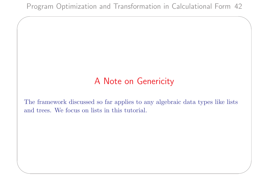$\overline{\phantom{a}}$ 

✫

## A Note on Genericity

The framework discussed so far applies to any algebraic data types like lists and trees. We focus on lists in this tutorial.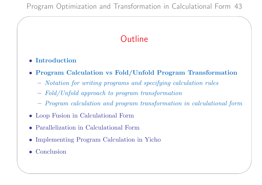# **Outline**

#### • Introduction

 $\overline{\phantom{a}}$ 

- Program Calculation vs Fold/Unfold Program Transformation
	- Notation for writing programs and specifying calculation rules
	- Fold/Unfold approach to program transformation
	- Program calculation and program transformation in calculational form
- Loop Fusion in Calculational Form
- Parallelization in Calculational Form
- Implementing Program Calculation in Yicho
- Conclusion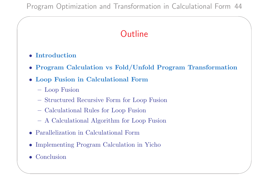# **Outline**

• Introduction

 $\overline{\phantom{a}}$ 

- Program Calculation vs Fold/Unfold Program Transformation
- Loop Fusion in Calculational Form
	- Loop Fusion
	- Structured Recursive Form for Loop Fusion
	- Calculational Rules for Loop Fusion
	- A Calculational Algorithm for Loop Fusion
- Parallelization in Calculational Form
- Implementing Program Calculation in Yicho
- Conclusion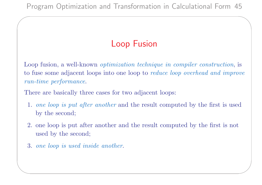# Loop Fusion

Loop fusion, a well-known *optimization technique in compiler construction*, is to fuse some adjacent loops into one loop to reduce loop overhead and improve run-time performance.

There are basically three cases for two adjacent loops:

- 1. one loop is put after another and the result computed by the first is used by the second;
- 2. one loop is put after another and the result computed by the first is not used by the second;
- 3. one loop is used inside another.

 $\overline{\phantom{a}}$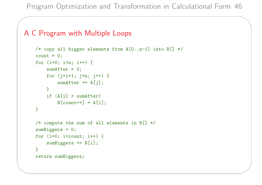#### A C Program with Multiple Loops

 $\overline{\phantom{a}}$ 

```
/* copy all bigger elements from A[0..n-1] into B[] */
count = 0;
for (i=0; i \le n; i++) {
    sumAfter = 0;for (j=i+1; j<n; j++) {
        sumAfter += A[j];}
    if (A[i] > sumAfter)B[count++] = A[i];}
/* compute the sum of all elements in B[] * /sumBiggers = 0;
for (i=0; i<count; i++) {
    sumBiggers += B[i];
}
return sumBiggers;
```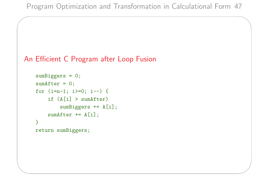```
An Efficient C Program after Loop Fusion
```

```
sumBiggers = 0;
sumAfter = 0;for (i=n-1; i>=0; i--) {
    if (A[i] > sumAfter)
        sumBiggers += A[i];
    sumAfter += A[i];
}
return sumBiggers;
```
 $\overline{\phantom{a}}$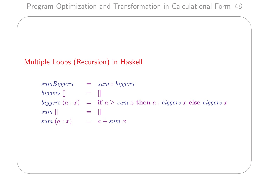### Multiple Loops (Recursion) in Haskell

 $\overline{\phantom{a}}$ 

✫

 $sumBigers$  =  $sum \circ biggers$  $biggers \parallel$  =  $\parallel$ biggers  $(a : x)$  = if  $a \geq sum x$  then  $a : biggers$  x else biggers x  $sum \quad [$  $sum (a : x) = a + sum x$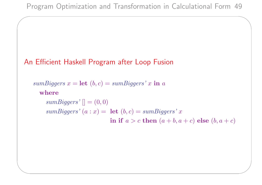### An Efficient Haskell Program after Loop Fusion

 $\overline{\phantom{a}}$ 

✫

sumBiggers  $x = \text{let } (b, c) = sumBig \arg \arg s' \cdot x$  in a where  $sumBiggers'$   $[] = (0,0)$  $sumBiggers' (a : x) = \textbf{let} (b, c) = sumBiggers' x$ in if  $a > c$  then  $(a + b, a + c)$  else  $(b, a + c)$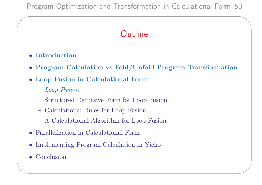# **Outline**

• Introduction

 $\overline{\phantom{a}}$ 

- Program Calculation vs Fold/Unfold Program Transformation
- Loop Fusion in Calculational Form
	- Loop Fusion
	- Structured Recursive Form for Loop Fusion
	- Calculational Rules for Loop Fusion
	- A Calculational Algorithm for Loop Fusion
- Parallelization in Calculational Form
- Implementing Program Calculation in Yicho
- Conclusion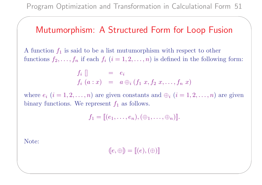### Mutumorphism: A Structured Form for Loop Fusion

A function  $f_1$  is said to be a list mutumorphism with respect to other functions  $f_2, \ldots, f_n$  if each  $f_i$   $(i = 1, 2, \ldots, n)$  is defined in the following form:

$$
f_i
$$
 [] =  $e_i$   
 $f_i$  ( $a : x$ ) =  $a \bigoplus_i (f_1 \ x, f_2 \ x, ..., f_n \ x)$ 

where  $e_i$   $(i = 1, 2, ..., n)$  are given constants and  $\oplus_i$   $(i = 1, 2, ..., n)$  are given binary functions. We represent  $f_1$  as follows.

$$
f_1 = [[(e_1,\ldots,e_n),(\oplus_1,\ldots,\oplus_n)]].
$$

Note:

✫

 $\overline{\phantom{a}}$ 

$$
(\hskip-1.5pt[\hskip-1.5pt[ e,\oplus\hskip-1.5pt]\hskip-1.5pt)\hskip-1.5pt]=[\hskip-1.5pt[\hskip-1.5pt[ e),( \oplus\hskip-1.5pt)\hskip-1.5pt]\hskip-1.5pt]
$$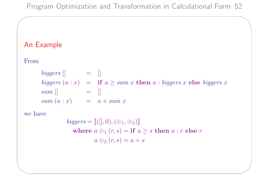### An Example

#### From

 $\overline{\phantom{a}}$ 

biggers [] = []  
\nbiggers (a : x) = if 
$$
a \ge
$$
 sum x then a : biggers x else biggers x  
\nsum [] = []  
\nsum (a : x) = a + sum x

we have

*biggers* = 
$$
[([], 0), (\oplus_1, \oplus_2)]
$$
\nwhere  $a \oplus_1 (r, s) = \textbf{if } a \geq s$  then  $a : r$  else  $r$ \n $a \oplus_2 (r, s) = a + s$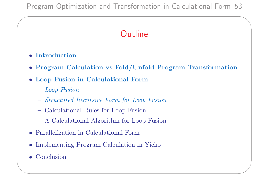# **Outline**

• Introduction

 $\overline{\phantom{a}}$ 

- Program Calculation vs Fold/Unfold Program Transformation
- Loop Fusion in Calculational Form
	- Loop Fusion
	- Structured Recursive Form for Loop Fusion
	- Calculational Rules for Loop Fusion
	- A Calculational Algorithm for Loop Fusion
- Parallelization in Calculational Form
- Implementing Program Calculation in Yicho
- Conclusion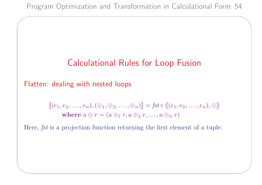## Calculational Rules for Loop Fusion

Flatten: dealing with nested loops

 $\overline{\phantom{a}}$ 

✫

$$
[[ (e_1, e_2, \ldots, e_n), (\oplus_1, \oplus_2, \ldots, \oplus_n)]] = \text{fst} \circ [[ (e_1, e_2, \ldots, e_n), \oplus ] )
$$
  
where  $a \oplus r = (a \oplus_1 r, a \oplus_2 r, \ldots, a \oplus_n r)$ 

Here, fst is a projection function returning the first element of a tuple.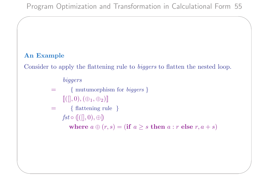#### An Example

 $\overline{\phantom{a}}$ 

✫

Consider to apply the flattening rule to biggers to flatten the nested loop.

### biggers

- = { mutumorphism for biggers }  $[[([], 0), (\oplus_1, \oplus_2)]$
- = { flattening rule }
	- $fst \circ ([[]], 0), \oplus])$

where  $a \oplus (r, s) =$  (if  $a \geq s$  then  $a : r$  else  $r, a + s$ )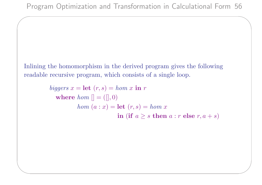Inlining the homomorphism in the derived program gives the following readable recursive program, which consists of a single loop.

 $\overline{\phantom{a}}$ 

✫

biggers  $x = \text{let}(r, s) = hom x \text{ in } r$ where  $hom[] = ([] , 0)$ hom  $(a : x) = \text{let } (r, s) = hom x$ in (if  $a \geq s$  then  $a : r$  else  $r, a + s$ )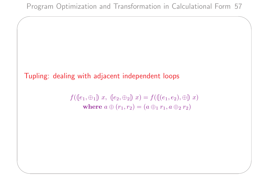### Tupling: dealing with adjacent independent loops

 $\overline{\phantom{a}}$ 

✫

 $f([e_1, \oplus_1]) \; x, \; [e_2, \oplus_2]) \; x) = f([ (e_1, e_2), \oplus ] \; x)$ where  $a \oplus (r_1, r_2) = (a \oplus_1 r_1, a \oplus_2 r_2)$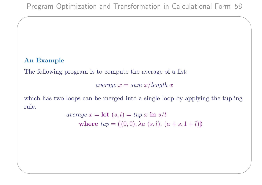#### An Example

 $\overline{\phantom{a}}$ 

✫

The following program is to compute the average of a list:

average  $x = sum\ x/length\ x$ 

which has two loops can be merged into a single loop by applying the tupling rule.

$$
average x = \textbf{let } (s, l) = tup x \textbf{ in } s/l
$$
\n
$$
\textbf{where } tup = ([0, 0), \lambda a (s, l). (a + s, 1 + l)])
$$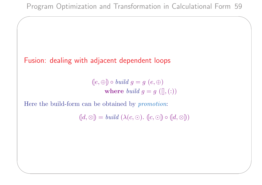### Fusion: dealing with adjacent dependent loops

 $\overline{\phantom{a}}$ 

✫

 $([e, \oplus]) \circ build \ g = g \ (e, \oplus)$ where *build*  $g = g([,))$ 

Here the build-form can be obtained by promotion:

 $([d, \otimes]) = build (\lambda(c, \odot). ([c, \odot]) \circ ([d, \otimes]))$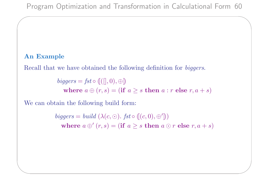#### An Example

 $\overline{\phantom{a}}$ 

✫

Recall that we have obtained the following definition for biggers.

 $biggers = fst \circ ([[]], 0), \oplus]$ where  $a \oplus (r, s) =$  (if  $a \geq s$  then  $a : r$  else  $r, a + s$ )

We can obtain the following build form:

biggers = build  $(\lambda(c, \odot)$ . fst  $\circ$  ( $(c, 0), \oplus')$ ) where  $a \oplus (r, s) =$  (if  $a \geq s$  then  $a \odot r$  else  $r, a + s$ )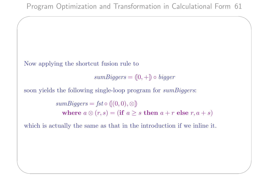Now applying the shortcut fusion rule to

 $\overline{\phantom{a}}$ 

✫

 $sumBiggers = (0, +) \circ bigger$ 

soon yields the following single-loop program for *sumBiggers*:

 $sumBiggers = fst \circ ([(0,0), \otimes])$ where  $a \otimes (r, s) = (\text{if } a \geq s \text{ then } a + r \text{ else } r, a + s)$ 

which is actually the same as that in the introduction if we inline it.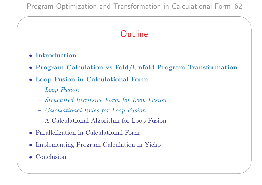# **Outline**

• Introduction

 $\overline{\phantom{a}}$ 

- Program Calculation vs Fold/Unfold Program Transformation
- Loop Fusion in Calculational Form
	- Loop Fusion
	- Structured Recursive Form for Loop Fusion
	- Calculational Rules for Loop Fusion
	- A Calculational Algorithm for Loop Fusion
- Parallelization in Calculational Form
- Implementing Program Calculation in Yicho
- Conclusion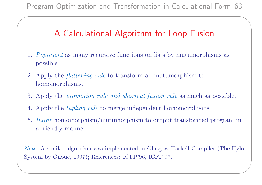## A Calculational Algorithm for Loop Fusion

- 1. Represent as many recursive functions on lists by mutumorphisms as possible.
- 2. Apply the flattening rule to transform all mutumorphism to homomorphisms.

 $\overline{\phantom{a}}$ 

✫

- 3. Apply the promotion rule and shortcut fusion rule as much as possible.
- 4. Apply the tupling rule to merge independent homomorphisms.
- 5. Inline homomorphism/mutumorphism to output transformed program in a friendly manner.

Note: A similar algorithm was implemented in Glasgow Haskell Compiler (The Hylo System by Onoue, 1997); References: ICFP'96, ICFP'97.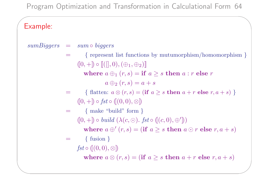### Example:

 $\overline{\phantom{a}}$ 

✫

 $sumBigers$  =  $sum \circ biggers$ = { represent list functions by mutumorphism/homomorphism }  $([0, +]) \circ [[(0, 0), (\oplus_1, \oplus_2)]$ where  $a \bigoplus_{1} (r, s) =$  if  $a \geq s$  then  $a : r$  else r  $a \bigoplus_2 (r,s) = a + s$ = { flatten:  $a \otimes (r, s) = (\text{if } a \geq s \text{ then } a + r \text{ else } r, a + s)$  }  $([0, +]) \circ \text{fst} \circ ([(0, 0), \otimes])$  $=$  { make "build" form }  $(0, +) \circ build (\lambda(c, \odot). \text{ } fst \circ ((c, 0), \oplus'))$ where  $a \oplus (r, s) =$  (if  $a \geq s$  then  $a \odot r$  else  $r, a + s$ )  $=$  { fusion }  $fst \circ ([0,0), \otimes])$ where  $a \otimes (r, s) = (\text{if } a \geq s \text{ then } a + r \text{ else } r, a + s)$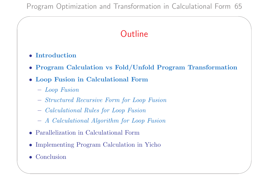# **Outline**

• Introduction

 $\overline{\phantom{a}}$ 

- Program Calculation vs Fold/Unfold Program Transformation
- Loop Fusion in Calculational Form
	- Loop Fusion
	- Structured Recursive Form for Loop Fusion
	- Calculational Rules for Loop Fusion
	- A Calculational Algorithm for Loop Fusion
- Parallelization in Calculational Form
- Implementing Program Calculation in Yicho
- Conclusion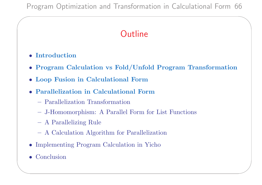# **Outline**

• Introduction

 $\overline{\phantom{a}}$ 

- Program Calculation vs Fold/Unfold Program Transformation
- Loop Fusion in Calculational Form
- Parallelization in Calculational Form
	- Parallelization Transformation
	- J-Homomorphism: A Parallel Form for List Functions
	- A Parallelizing Rule
	- A Calculation Algorithm for Parallelization
- Implementing Program Calculation in Yicho
- Conclusion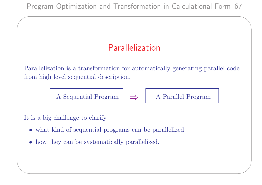# Parallelization

Parallelization is a transformation for automatically generating parallel code from high level sequential description.

A Sequential Program  $\Rightarrow$  A Parallel Program

It is a big challenge to clarify

 $\overline{\phantom{a}}$ 

- what kind of sequential programs can be parallelized
- how they can be systematically parallelized.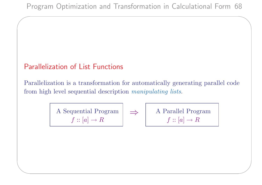### Parallelization of List Functions

 $\overline{\phantom{a}}$ 

✫

Parallelization is a transformation for automatically generating parallel code from high level sequential description manipulating lists.

> A Sequential Program  $f$  :: [a]  $\rightarrow$  R

⇒ A Parallel Program  $f$  :: [a]  $\rightarrow$  R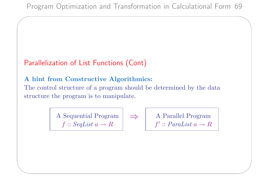### Parallelization of List Functions (Cont)

 $\overline{\phantom{a}}$ 

✫

#### A hint from Constructive Algorithmics:

The control structure of a program should be determined by the data structure the program is to manipulate.

> A Sequential Program  $f$  :: SeqList  $a \rightarrow R$

$$
\Rightarrow \qquad A \text{ Parallel Program} \qquad \qquad f' :: \text{Paralist } a \to R
$$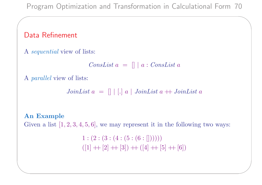### Data Refinement

 $\overline{\phantom{a}}$ 

A sequential view of lists:

 $ConsList a = [] | a : ConsList a$ 

A parallel view of lists:

 $JoinList a = [] | [] a | JoinList a + JoinList a$ 

#### An Example

✫

Given a list  $[1, 2, 3, 4, 5, 6]$ , we may represent it in the following two ways:

 $1:(2:(3:(4:(5:(6:[))))))$  $([1] + [2] + [3]) + ([4] + [5] + [6])$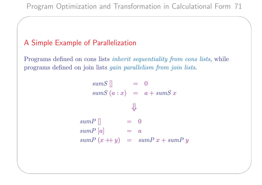### A Simple Example of Parallelization

 $\overline{\phantom{a}}$ 

✫

Programs defined on cons lists *inherit sequentiality from cons lists*, while programs defined on join lists gain parallelism from join lists.

> $sumS$   $\Box$  = 0  $sumS(a : x) = a + sumS x$

> > ⇓

 $sumP$  []  $= 0$  $sumP[a]$  = a  $sumP(x + y) = sumP x + sumP y$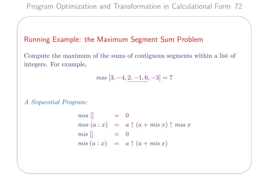#### Running Example: the Maximum Segment Sum Problem

Compute the maximum of the sums of contiguous segments within a list of integers. For example,

$$
mss\;[3,-4,\underline{2,-1,6},-3]=7
$$

#### A Sequential Program:

 $\overline{\phantom{a}}$ 

$$
mss [] = 0
$$
  
\n
$$
mss (a : x) = a \uparrow (a + mis x) \uparrow mss x
$$
  
\n
$$
mis [] = 0
$$
  
\n
$$
mis (a : x) = a \uparrow (a + mis x)
$$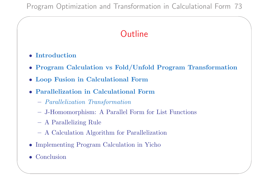# **Outline**

• Introduction

 $\overline{\phantom{a}}$ 

- Program Calculation vs Fold/Unfold Program Transformation
- Loop Fusion in Calculational Form
- Parallelization in Calculational Form
	- Parallelization Transformation
	- J-Homomorphism: A Parallel Form for List Functions
	- A Parallelizing Rule
	- A Calculation Algorithm for Parallelization
- Implementing Program Calculation in Yicho
- Conclusion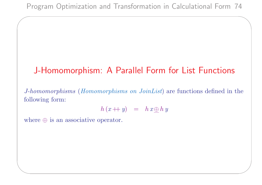# J-Homomorphism: A Parallel Form for List Functions

J-homomorphisms (Homomorphisms on JoinList) are functions defined in the following form:

$$
h(x+y) = h x \underline{\oplus} h y
$$

where  $\oplus$  is an associative operator.

 $\overline{\phantom{a}}$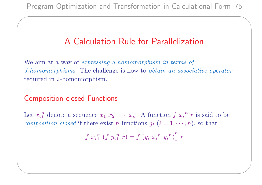# A Calculation Rule for Parallelization

We aim at a way of *expressing a homomorphism in terms of* J-homomorphisms. The challenge is how to obtain an associative operator required in J-homomorphism.

### Composition-closed Functions

 $\overline{\phantom{a}}$ 

✫

Let  $\overline{x_i}^n_1$  $\frac{n}{1}$  denote a sequence  $x_1$   $x_2$   $\cdots$   $x_n$ . A function  $f$   $\overline{x_i}$ <sup>n</sup>  $\frac{n}{1}$  *r* is said to be composition-closed if there exist n functions  $g_i$   $(i = 1, \dots, n)$ , so that

$$
f \overline{x}_{i1}^{n} (f \overline{y}_{i1}^{n} r) = f \overline{(g_i \overline{x}_{i1}^{n} \overline{y}_{i1}^{n})}_{1}^{n} r
$$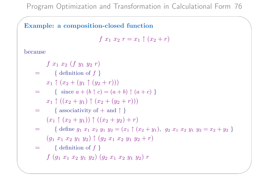#### Example: a composition-closed function

 $f(x_1, x_2, r = x_1 \uparrow (x_2 + r))$ 

because

✫

 $\overline{\phantom{a}}$ 

- $f(x_1, x_2) (f(y_1, y_2, r))$  $=$  { definition of  $f$  }  $x_1 \uparrow (x_2 + (y_1 \uparrow (y_2 + r)))$  $=$  { since  $a + (b \uparrow c) = (a + b) \uparrow (a + c)$ }  $x_1 \uparrow ((x_2 + y_1) \uparrow (x_2 + (y_2 + r)))$  $=$  { associativity of + and  $\uparrow$  }  $(x_1 \uparrow (x_2 + y_1)) \uparrow ((x_2 + y_2) + r)$  $=$  { define  $g_1 x_1 x_2 y_1 y_2 = (x_1 \uparrow (x_2 + y_1), g_2 x_1 x_2 y_1 y_2 = x_2 + y_2)$ }  $(g_1 x_1 x_2 y_1 y_2) \uparrow (g_2 x_1 x_2 y_1 y_2 + r)$  $=$  { definition of  $f$  }
	- $f\,\left( g_1\,\,x_1\,\,x_2\,\,y_1\,\,y_2 \right)\,\left( g_2\,\,x_1\,\,x_2\,\,y_1\,\,y_2 \right)\,r$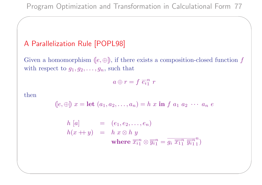### A Parallelization Rule [POPL98]

Given a homomorphism  $(e, \oplus)$ , if there exists a composition-closed function f with respect to  $g_1, g_2, \ldots, g_n$ , such that

$$
a \oplus r = f \, \overline{e_i}^n \, r
$$

then

✫

 $\overline{\phantom{a}}$ 

$$
(e, \oplus) x = \text{let } (a_1, a_2, \dots, a_n) = h \ x \text{ in } f \ a_1 \ a_2 \ \cdots \ a_n \ e
$$

$$
h [a] = (e_1, e_2, \dots, e_n)
$$
  
\n
$$
h(x + y) = h x \otimes h y
$$
  
\nwhere  $\overline{x_i}^n \otimes \overline{y_i}^n = \overline{g_i} \overline{x_1}^n \overline{y_i}^n$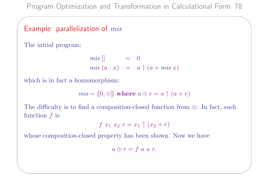### Example: parallelization of  $mis$

The initial program:

 $\overline{\phantom{a}}$ 

✫

$$
mis [] = 0
$$
  

$$
mis (a : x) = a \uparrow (a + mis x)
$$

which is in fact a homomorphism:

$$
mis = ([0, \oplus]) \text{ where } a \oplus r = a \uparrow (a+r)
$$

The difficulty is to find a composition-closed function from  $\oplus$ . In fact, such function  $f$  is

$$
f x_1 x_2 r = x_1 \uparrow (x_2 + r)
$$

whose composition-closed property has been shown. Now we have

$$
a \oplus r = f \ a \ a \ r.
$$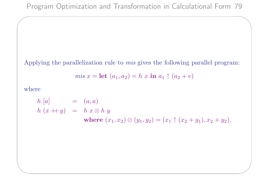Applying the parallelization rule to mis gives the following parallel program:

$$
mis x = \mathbf{let} (a_1, a_2) = h x \mathbf{in} a_1 \uparrow (a_2 + e)
$$

where

✫

 $\overline{\phantom{a}}$ 

 $h [a] = (a, a)$  $h(x + y) = h x \otimes h y$ where  $(x_1, x_2) \otimes (y_1, y_2) = (x_1 \uparrow (x_2 + y_1), x_2 + y_2).$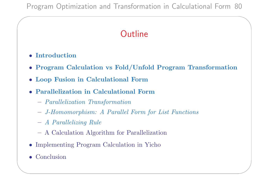# **Outline**

• Introduction

 $\overline{\phantom{a}}$ 

- Program Calculation vs Fold/Unfold Program Transformation
- Loop Fusion in Calculational Form
- Parallelization in Calculational Form
	- Parallelization Transformation
	- J-Homomorphism: A Parallel Form for List Functions
	- A Parallelizing Rule
	- A Calculation Algorithm for Parallelization
- Implementing Program Calculation in Yicho
- Conclusion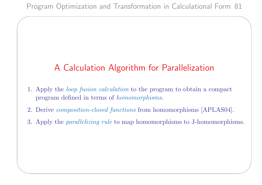$\overline{\phantom{a}}$ 

✫

# A Calculation Algorithm for Parallelization

- 1. Apply the loop fusion calculation to the program to obtain a compact program defined in terms of homomorphisms.
- 2. Derive composition-closed functions from homomorphisms [APLAS04].
- 3. Apply the parallelizing rule to map homomorphisms to J-homomorphisms.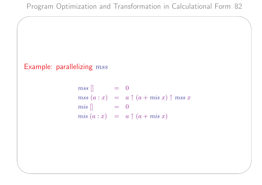### Example: parallelizing  $mss$

 $\overline{\phantom{a}}$ 

$$
mss [] = 0
$$
  
\n
$$
mss (a : x) = a \uparrow (a + mis x) \uparrow mss x
$$
  
\n
$$
mis [] = 0
$$
  
\n
$$
mis (a : x) = a \uparrow (a + mis x)
$$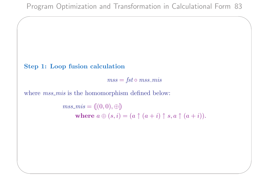#### Step 1: Loop fusion calculation

 $\overline{\phantom{a}}$ 

✫

 $mss = fst \circ mss\_mis$ 

where  $ms\_mis$  is the homomorphism defined below:

 $mss\_mis = ([(0, 0), \oplus])$ where  $a \oplus (s, i) = (a \uparrow (a + i) \uparrow s, a \uparrow (a + i)).$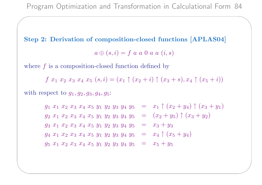Step 2: Derivation of composition-closed functions [APLAS04]  $a \oplus (s, i) = f a a 0 a a (i, s)$ 

where  $f$  is a composition-closed function defined by

 $\overline{\phantom{a}}$ 

✫

f  $x_1$   $x_2$   $x_3$   $x_4$   $x_5$   $(s, i) = (x_1 \uparrow (x_2 + i) \uparrow (x_3 + s), x_4 \uparrow (x_5 + i))$ with respect to  $g_1, g_2, g_3, g_4, g_5$ :

> $g_1$   $x_1$   $x_2$   $x_3$   $x_4$   $x_5$   $y_1$   $y_2$   $y_3$   $y_4$   $y_5$  =  $x_1 \uparrow (x_2 + y_4) \uparrow (x_3 + y_1)$  $g_2$   $x_1$   $x_2$   $x_3$   $x_4$   $x_5$   $y_1$   $y_2$   $y_3$   $y_4$   $y_5$  =  $(x_2 + y_5)$   $\uparrow$   $(x_3 + y_2)$  $g_3$   $x_1$   $x_2$   $x_3$   $x_4$   $x_5$   $y_1$   $y_2$   $y_3$   $y_4$   $y_5$  =  $x_3 + y_3$  $g_4$   $x_1$   $x_2$   $x_3$   $x_4$   $x_5$   $y_1$   $y_2$   $y_3$   $y_4$   $y_5$  =  $x_4$   $\uparrow$   $(x_5 + y_4)$  $g_5$   $x_1$   $x_2$   $x_3$   $x_4$   $x_5$   $y_1$   $y_2$   $y_3$   $y_4$   $y_5$  =  $x_5 + y_5$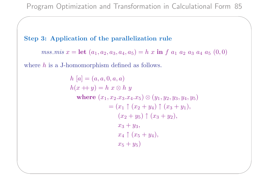#### Step 3: Application of the parallelization rule

 $\overline{\phantom{a}}$ 

✫

*mss\_mis*  $x = \text{let}(a_1, a_2, a_3, a_4, a_5) = h x \text{ in } f a_1 a_2 a_3 a_4 a_5 (0,0)$ 

where  $h$  is a J-homomorphism defined as follows.

 $h [a] = (a, a, 0, a, a)$  $h(x + y) = h x \otimes h y$ where  $(x_1, x_2.x_3.x_4.x_5) \otimes (y_1, y_2, y_3, y_4, y_5)$  $=(x_1 \uparrow (x_2 + y_4) \uparrow (x_3 + y_1)),$  $(x_2 + y_5) \uparrow (x_3 + y_2),$  $x_3 + y_3$ ,  $x_4 \uparrow (x_5 + y_4),$  $x_5 + y_5$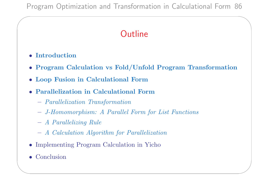# **Outline**

• Introduction

 $\overline{\phantom{a}}$ 

- Program Calculation vs Fold/Unfold Program Transformation
- Loop Fusion in Calculational Form
- Parallelization in Calculational Form
	- Parallelization Transformation
	- J-Homomorphism: A Parallel Form for List Functions
	- A Parallelizing Rule
	- A Calculation Algorithm for Parallelization
- Implementing Program Calculation in Yicho
- Conclusion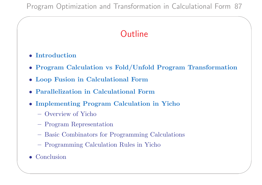# **Outline**

• Introduction

 $\overline{\phantom{a}}$ 

- Program Calculation vs Fold/Unfold Program Transformation
- Loop Fusion in Calculational Form
- Parallelization in Calculational Form
- Implementing Program Calculation in Yicho
	- Overview of Yicho
	- Program Representation
	- Basic Combinators for Programming Calculations
	- Programming Calculation Rules in Yicho
- Conclusion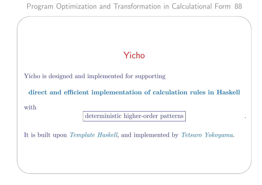# Yicho

Yicho is designed and implemented for supporting

direct and efficient implementation of calculation rules in Haskell

with

✫

 $\overline{\phantom{a}}$ 

deterministic higher-order patterns .

It is built upon Template Haskell, and implemented by Tetsuro Yokoyama.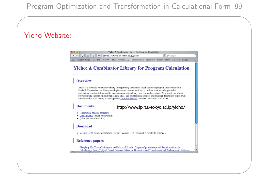$\overline{\phantom{a}}$ 

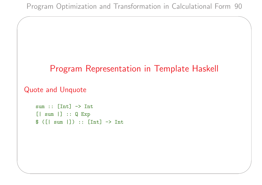### Program Representation in Template Haskell

#### Quote and Unquote

 $\overline{\phantom{a}}$ 

```
sum :: [Int] \rightarrow Int[| sum |] :: Q Exp
$ ([| sum |]) :: [Int] -> Int
```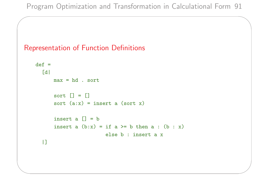#### Representation of Function Definitions

 $\overline{\phantom{a}}$ 

```
def =\lceil d \rceilmax = hd. sort
      sort [] = []sort (a:x) = insert a (sort x)insert a \lceil \rceil = binsert a (b:x) = if a >= b then a : (b : x)else b : insert a x
  |]
```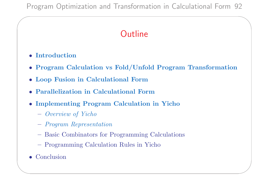# **Outline**

• Introduction

 $\overline{\phantom{a}}$ 

- Program Calculation vs Fold/Unfold Program Transformation
- Loop Fusion in Calculational Form
- Parallelization in Calculational Form
- Implementing Program Calculation in Yicho
	- Overview of Yicho
	- Program Representation
	- Basic Combinators for Programming Calculations
	- Programming Calculation Rules in Yicho
- Conclusion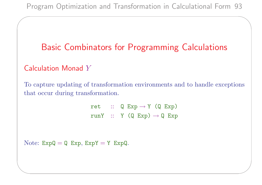# Basic Combinators for Programming Calculations

### Calculation Monad Y

 $\overline{\phantom{a}}$ 

✫

To capture updating of transformation environments and to handle exceptions that occur during transformation.

> ret ::  $Q Exp \rightarrow Y (Q Exp)$ runY :: Y  $(Q Exp) \rightarrow Q Exp$

Note:  $ExpQ = Q Exp$ ,  $ExpY = Y ExpQ$ .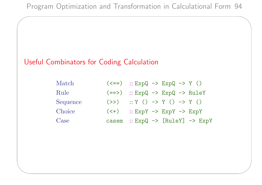### Useful Combinators for Coding Calculation

 $\overline{\phantom{a}}$ 

| Match    |                                 | $(\leq =)$ :: ExpQ -> ExpQ -> Y ()                    |
|----------|---------------------------------|-------------------------------------------------------|
| Rule     | $(==)$                          | $::$ $ExpQ \rightarrow ExpQ \rightarrow RuleY$        |
| Sequence | (>>)                            | $:: Y () \rightarrow Y () \rightarrow Y ()$           |
| Choice   | $(\left\langle +\right\rangle)$ | $::$ $ExpY$ $\rightarrow$ $ExpY$ $\rightarrow$ $ExpY$ |
| Case     | casem                           | $::$ $ExpQ \rightarrow [RuleY] \rightarrow ExpY$      |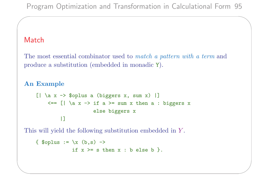#### Match

✫

 $\overline{\phantom{a}}$ 

The most essential combinator used to match a pattern with a term and produce a substitution (embedded in monadic Y).

#### An Example

```
[ | \text{ a x } \rightarrow \text{ $splus a (biggers x, sum x) ]}\leq == [| \a x -> if a >= sum x then a : biggers x
                        else biggers x
          |]
```
This will yield the following substitution embedded in Y .

```
{ $oplus := \xleftarrow{x} (b,s) \rightarrowif x \geq s then x : b else b \}.
```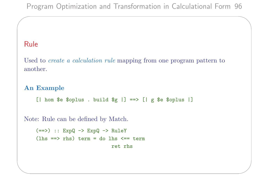#### Rule

✫

 $\overline{\phantom{a}}$ 

Used to *create a calculation rule* mapping from one program pattern to another.

#### An Example

[| hom \$e \$oplus . build  $g \equiv -\$  [| g \$e \$oplus |]

Note: Rule can be defined by Match.

```
(==) :: ExpQ \rightarrow ExpQ \rightarrow RuleY(lhs == rhs) term = do lhs <= term
                             ret rhs
```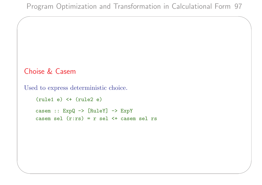### Choise & Casem

 $\overline{\phantom{a}}$ 

```
Used to express deterministic choice.
```

```
(rule1 e) < + (rule2 e)casem :: ExpQ -> [RuleY] -> ExpY
casem sel (r:rs) = r sel \leq + casem sel rs
```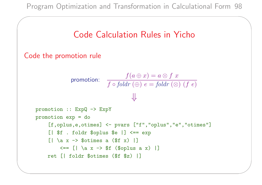

```
Code the promotion rule
```
 $\overline{\phantom{a}}$ 

✫

promotion:  $f(a \oplus x) = a \otimes f x$  $f \circ foldr \ (\oplus) \ e = foldr \ (\otimes) \ (f \ e)$ ⇓

```
promotion :: ExpQ -> ExpY
promotion exp = do
     [f,oplus,e,otimes] <- pvars ["f","oplus","e","otimes"]
     [| $f . foldr $oplus $e |] <== exp
     [ \ \vert \ \lambda x -> $otimes a ($f x) \vert \\leq = [ | \ a \ x \rightarrow $f ( $oplus a x) ] ]ret [| foldr $otimes ($f $z) |]
```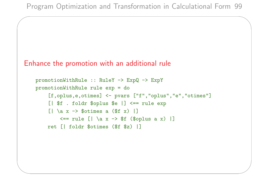```
Enhance the promotion with an additional rule
```
 $\overline{\phantom{a}}$ 

```
promotionWithRule :: RuleY -> ExpQ -> ExpY
promotionWithRule rule exp = do
         [f,oplus,e,otimes] <- pvars ["f","oplus","e","otimes"]
         [ | $f : {foldr} $oplus $e | ] < == rule exp\lceil \cdot \rceil \{ \cdot \} \{ \cdot \} \uparrow \uparrow \uparrow \uparrow \uparrow \uparrow \uparrow \uparrow \uparrow \uparrow \uparrow \uparrow \uparrow \uparrow \uparrow \uparrow \uparrow \uparrow \uparrow \uparrow \uparrow \uparrow \uparrow \uparrow \uparrow \uparrow \uparrow \uparrow \uparrow \uparrow \uparrow \uparrow 
                 \leq -> rule [ \ \vert \ \a x -> $f ($oplus a x) |]
        ret [| foldr $otimes ($f $z) |]
```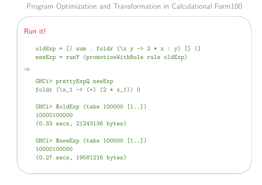#### Run it!

 $\overline{\phantom{a}}$ 

```
oldExp = [| sum . foldr (\{x \} > 2 * x : y) [ ] |]
newExp = runY (promotionWithRule rule oldExp)
```
#### ⇒

```
GHCi> prettyExpQ newExp
foldr (\{x_1 \rightarrow (+) (2 * x_1)\}) 0
```

```
GHCi> $oldExp (take 100000 [1..])
10000100000
```

```
(0.33 secs, 21243136 bytes)
```

```
GHCi> $newExp (take 100000 [1..])
10000100000
(0.27 secs, 19581216 bytes)
```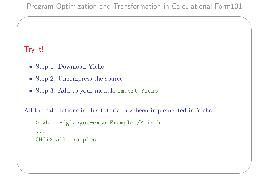### Try it!

 $\overline{\phantom{a}}$ 

- Step 1: Download Yicho
- Step 2: Uncompress the source
- Step 3: Add to your module Import Yicho

All the calculations in this tutorial has been implemented in Yicho.

```
> ghci -fglasgow-exts Examples/Main.hs
```

```
...
```

```
GHCi> all_examples
```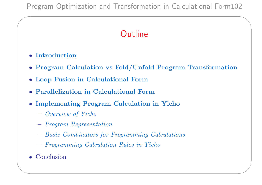# **Outline**

• Introduction

 $\overline{\phantom{a}}$ 

- Program Calculation vs Fold/Unfold Program Transformation
- Loop Fusion in Calculational Form
- Parallelization in Calculational Form
- Implementing Program Calculation in Yicho
	- Overview of Yicho
	- Program Representation
	- Basic Combinators for Programming Calculations
	- Programming Calculation Rules in Yicho
- Conclusion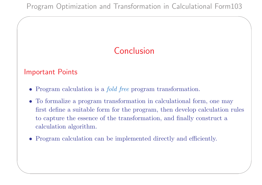# Conclusion

#### Important Points

 $\overline{\phantom{a}}$ 

- Program calculation is a *fold free* program transformation.
- To formalize a program transformation in calculational form, one may first define a suitable form for the program, then develop calculation rules to capture the essence of the transformation, and finally construct a calculation algorithm.
- Program calculation can be implemented directly and efficiently.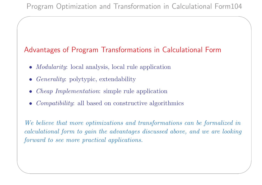### Advantages of Program Transformations in Calculational Form

- Modularity: local analysis, local rule application
- Generality: polytypic, extendability

 $\overline{\phantom{a}}$ 

✫

- Cheap Implementation: simple rule application
- *Compatibility*: all based on constructive algorithmics

We believe that more optimizations and transformations can be formalized in calculational form to gain the advantages discussed above, and we are looking forward to see more practical applications.